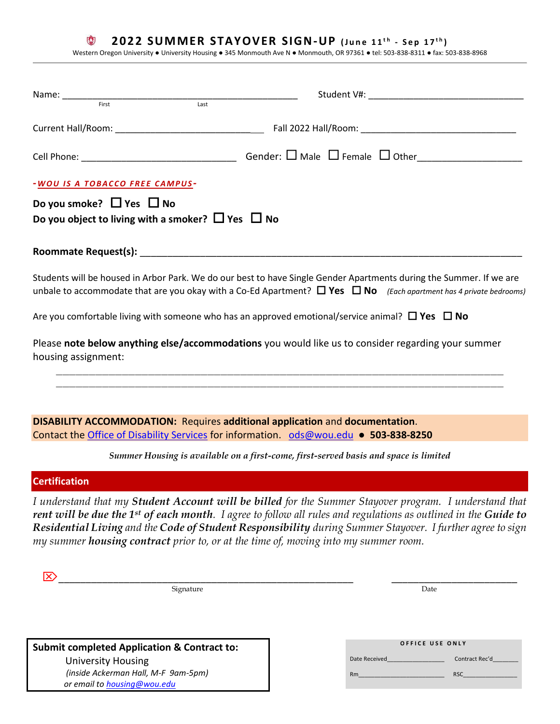#### 0 **2022 SUMMER STAYOVER SIGN-UP** (June 11<sup>th</sup> - Sep 17<sup>th</sup>)

Western Oregon University ● University Housing ● 345 Monmouth Ave N ● Monmouth, OR 97361 ● tel: 503-838-8311 ● fax: 503-838-8968

| Student V#: New York Student V#:                                                                                                                                                                                                                                                                                                                                                                                              |  |  |  |
|-------------------------------------------------------------------------------------------------------------------------------------------------------------------------------------------------------------------------------------------------------------------------------------------------------------------------------------------------------------------------------------------------------------------------------|--|--|--|
|                                                                                                                                                                                                                                                                                                                                                                                                                               |  |  |  |
|                                                                                                                                                                                                                                                                                                                                                                                                                               |  |  |  |
| -WOU IS A TOBACCO FREE CAMPUS-<br>Do you smoke? $\Box$ Yes $\Box$ No<br>Do you object to living with a smoker? $\Box$ Yes $\Box$ No                                                                                                                                                                                                                                                                                           |  |  |  |
|                                                                                                                                                                                                                                                                                                                                                                                                                               |  |  |  |
| Students will be housed in Arbor Park. We do our best to have Single Gender Apartments during the Summer. If we are<br>unbale to accommodate that are you okay with a Co-Ed Apartment? $\Box$ Yes $\Box$ No (Each apartment has 4 private bedrooms)                                                                                                                                                                           |  |  |  |
| Are you comfortable living with someone who has an approved emotional/service animal? $\Box$ Yes $\Box$ No                                                                                                                                                                                                                                                                                                                    |  |  |  |
| Please note below anything else/accommodations you would like us to consider regarding your summer<br>housing assignment:                                                                                                                                                                                                                                                                                                     |  |  |  |
| <b>DISABILITY ACCOMMODATION: Requires additional application and documentation.</b><br>Contact the Office of Disability Services for information. ods@wou.edu ● 503-838-8250                                                                                                                                                                                                                                                  |  |  |  |
| Summer Housing is available on a first-come, first-served basis and space is limited                                                                                                                                                                                                                                                                                                                                          |  |  |  |
| <b>Certification</b>                                                                                                                                                                                                                                                                                                                                                                                                          |  |  |  |
| I understand that my Student Account will be billed for the Summer Stayover program. I understand that<br>rent will be due the 1st of each month. I agree to follow all rules and regulations as outlined in the Guide to<br>Residential Living and the Code of Student Responsibility during Summer Stayover. I further agree to sign<br>my summer housing contract prior to, or at the time of, moving into my summer room. |  |  |  |
| Signature<br>Date                                                                                                                                                                                                                                                                                                                                                                                                             |  |  |  |
|                                                                                                                                                                                                                                                                                                                                                                                                                               |  |  |  |

**Submit completed Application & Contract to:** University Housing

 *(inside Ackerman Hall, M-F 9am-5pm) or email to [housing@wou.edu](mailto:housing@wou.edu)* 

|               | OFFICE USE ONLY |                |
|---------------|-----------------|----------------|
| Date Received |                 | Contract Rec'd |
| <b>Rm</b>     |                 | <b>RSC</b>     |